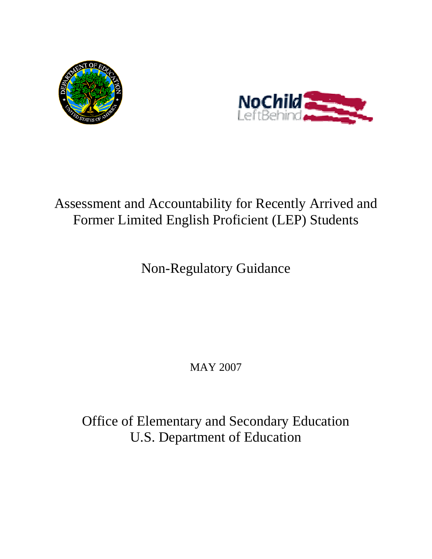



# Assessment and Accountability for Recently Arrived and Former Limited English Proficient (LEP) Students

Non-Regulatory Guidance

MAY 2007

Office of Elementary and Secondary Education U.S. Department of Education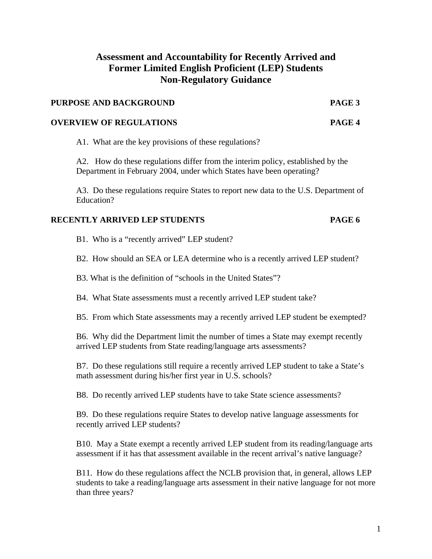# **Assessment and Accountability for Recently Arrived and Former Limited English Proficient (LEP) Students Non-Regulatory Guidance**

#### **PURPOSE AND BACKGROUND PAGE 3**

#### **OVERVIEW OF REGULATIONS PAGE 4**

A1. What are the key provisions of these regulations?

A2. How do these regulations differ from the interim policy, established by the Department in February 2004, under which States have been operating?

A3. Do these regulations require States to report new data to the U.S. Department of Education?

#### **RECENTLY ARRIVED LEP STUDENTS PAGE 6**

- B1. Who is a "recently arrived" LEP student?
- B2. How should an SEA or LEA determine who is a recently arrived LEP student?
- B3. What is the definition of "schools in the United States"?
- B4. What State assessments must a recently arrived LEP student take?
- B5. From which State assessments may a recently arrived LEP student be exempted?

B6. Why did the Department limit the number of times a State may exempt recently arrived LEP students from State reading/language arts assessments?

B7. Do these regulations still require a recently arrived LEP student to take a State's math assessment during his/her first year in U.S. schools?

B8. Do recently arrived LEP students have to take State science assessments?

B9. Do these regulations require States to develop native language assessments for recently arrived LEP students?

B10. May a State exempt a recently arrived LEP student from its reading/language arts assessment if it has that assessment available in the recent arrival's native language?

B11. How do these regulations affect the NCLB provision that, in general, allows LEP students to take a reading/language arts assessment in their native language for not more than three years?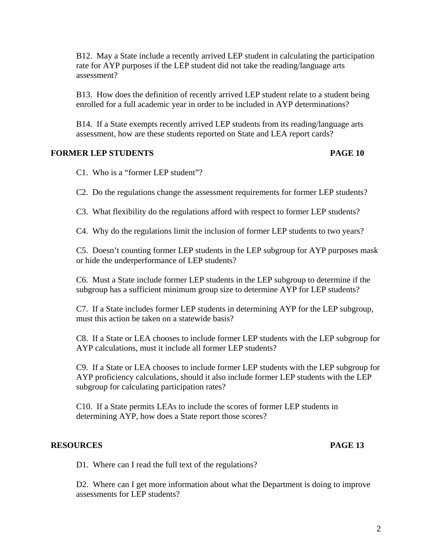B12. May a State include a recently arrived LEP student in calculating the participation rate for AYP purposes if the LEP student did not take the reading/language arts assessment?

B13. How does the definition of recently arrived LEP student relate to a student being enrolled for a full academic year in order to be included in AYP determinations?

B14. If a State exempts recently arrived LEP students from its reading/language arts assessment, how are these students reported on State and LEA report cards?

#### **FORMER LEP STUDENTS PAGE 10**

C1. Who is a "former LEP student"?

C2. Do the regulations change the assessment requirements for former LEP students?

C3. What flexibility do the regulations afford with respect to former LEP students?

C4. Why do the regulations limit the inclusion of former LEP students to two years?

C5. Doesn't counting former LEP students in the LEP subgroup for AYP purposes mask or hide the underperformance of LEP students?

C6. Must a State include former LEP students in the LEP subgroup to determine if the subgroup has a sufficient minimum group size to determine AYP for LEP students?

C7. If a State includes former LEP students in determining AYP for the LEP subgroup, must this action be taken on a statewide basis?

C8. If a State or LEA chooses to include former LEP students with the LEP subgroup for AYP calculations, must it include all former LEP students?

C9. If a State or LEA chooses to include former LEP students with the LEP subgroup for AYP proficiency calculations, should it also include former LEP students with the LEP subgroup for calculating participation rates?

C10. If a State permits LEAs to include the scores of former LEP students in determining AYP, how does a State report those scores?

#### **RESOURCES PAGE 13**

D1. Where can I read the full text of the regulations?

D2. Where can I get more information about what the Department is doing to improve assessments for LEP students?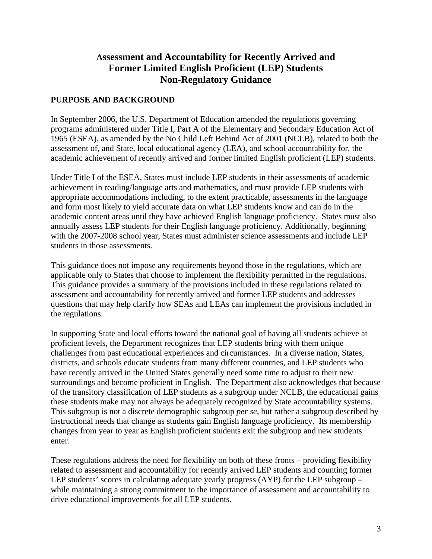# **Assessment and Accountability for Recently Arrived and Former Limited English Proficient (LEP) Students Non-Regulatory Guidance**

#### **PURPOSE AND BACKGROUND**

In September 2006, the U.S. Department of Education amended the regulations governing programs administered under Title I, Part A of the Elementary and Secondary Education Act of 1965 (ESEA), as amended by the No Child Left Behind Act of 2001 (NCLB), related to both the assessment of, and State, local educational agency (LEA), and school accountability for, the academic achievement of recently arrived and former limited English proficient (LEP) students.

Under Title I of the ESEA, States must include LEP students in their assessments of academic achievement in reading/language arts and mathematics, and must provide LEP students with appropriate accommodations including, to the extent practicable, assessments in the language and form most likely to yield accurate data on what LEP students know and can do in the academic content areas until they have achieved English language proficiency. States must also annually assess LEP students for their English language proficiency. Additionally, beginning with the 2007-2008 school year, States must administer science assessments and include LEP students in those assessments.

This guidance does not impose any requirements beyond those in the regulations, which are applicable only to States that choose to implement the flexibility permitted in the regulations. This guidance provides a summary of the provisions included in these regulations related to assessment and accountability for recently arrived and former LEP students and addresses questions that may help clarify how SEAs and LEAs can implement the provisions included in the regulations.

In supporting State and local efforts toward the national goal of having all students achieve at proficient levels, the Department recognizes that LEP students bring with them unique challenges from past educational experiences and circumstances. In a diverse nation, States, districts, and schools educate students from many different countries, and LEP students who have recently arrived in the United States generally need some time to adjust to their new surroundings and become proficient in English. The Department also acknowledges that because of the transitory classification of LEP students as a subgroup under NCLB, the educational gains these students make may not always be adequately recognized by State accountability systems. This subgroup is not a discrete demographic subgroup *per se*, but rather a subgroup described by instructional needs that change as students gain English language proficiency. Its membership changes from year to year as English proficient students exit the subgroup and new students enter.

These regulations address the need for flexibility on both of these fronts – providing flexibility related to assessment and accountability for recently arrived LEP students and counting former LEP students' scores in calculating adequate yearly progress (AYP) for the LEP subgroup – while maintaining a strong commitment to the importance of assessment and accountability to drive educational improvements for all LEP students.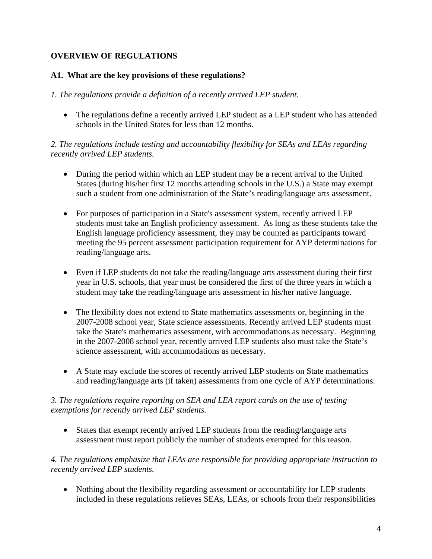# **OVERVIEW OF REGULATIONS**

#### **A1. What are the key provisions of these regulations?**

#### *1. The regulations provide a definition of a recently arrived LEP student.*

• The regulations define a recently arrived LEP student as a LEP student who has attended schools in the United States for less than 12 months.

#### *2. The regulations include testing and accountability flexibility for SEAs and LEAs regarding recently arrived LEP students.*

- During the period within which an LEP student may be a recent arrival to the United States (during his/her first 12 months attending schools in the U.S.) a State may exempt such a student from one administration of the State's reading/language arts assessment.
- For purposes of participation in a State's assessment system, recently arrived LEP students must take an English proficiency assessment. As long as these students take the English language proficiency assessment, they may be counted as participants toward meeting the 95 percent assessment participation requirement for AYP determinations for reading/language arts.
- Even if LEP students do not take the reading/language arts assessment during their first year in U.S. schools, that year must be considered the first of the three years in which a student may take the reading/language arts assessment in his/her native language.
- The flexibility does not extend to State mathematics assessments or, beginning in the 2007-2008 school year, State science assessments. Recently arrived LEP students must take the State's mathematics assessment, with accommodations as necessary. Beginning in the 2007-2008 school year, recently arrived LEP students also must take the State's science assessment, with accommodations as necessary.
- A State may exclude the scores of recently arrived LEP students on State mathematics and reading/language arts (if taken) assessments from one cycle of AYP determinations.

#### *3. The regulations require reporting on SEA and LEA report cards on the use of testing exemptions for recently arrived LEP students.*

 States that exempt recently arrived LEP students from the reading/language arts assessment must report publicly the number of students exempted for this reason.

#### *4. The regulations emphasize that LEAs are responsible for providing appropriate instruction to recently arrived LEP students.*

• Nothing about the flexibility regarding assessment or accountability for LEP students included in these regulations relieves SEAs, LEAs, or schools from their responsibilities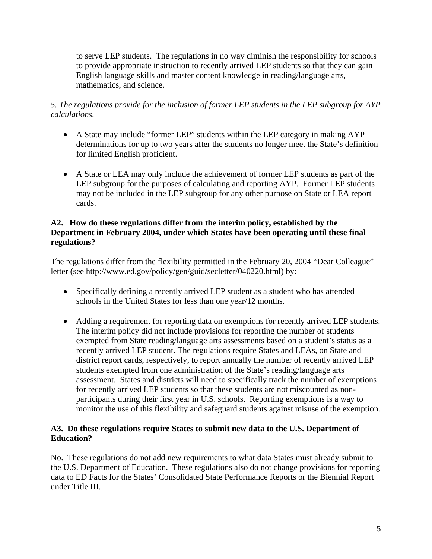to serve LEP students. The regulations in no way diminish the responsibility for schools to provide appropriate instruction to recently arrived LEP students so that they can gain English language skills and master content knowledge in reading/language arts, mathematics, and science.

# *5. The regulations provide for the inclusion of former LEP students in the LEP subgroup for AYP calculations.*

- A State may include "former LEP" students within the LEP category in making AYP determinations for up to two years after the students no longer meet the State's definition for limited English proficient.
- A State or LEA may only include the achievement of former LEP students as part of the LEP subgroup for the purposes of calculating and reporting AYP. Former LEP students may not be included in the LEP subgroup for any other purpose on State or LEA report cards.

#### **A2. How do these regulations differ from the interim policy, established by the Department in February 2004, under which States have been operating until these final regulations?**

The regulations differ from the flexibility permitted in the February 20, 2004 "Dear Colleague" letter (see http://www.ed.gov/policy/gen/guid/secletter/040220.html) by:

- Specifically defining a recently arrived LEP student as a student who has attended schools in the United States for less than one year/12 months.
- Adding a requirement for reporting data on exemptions for recently arrived LEP students. The interim policy did not include provisions for reporting the number of students exempted from State reading/language arts assessments based on a student's status as a recently arrived LEP student. The regulations require States and LEAs, on State and district report cards, respectively, to report annually the number of recently arrived LEP students exempted from one administration of the State's reading/language arts assessment. States and districts will need to specifically track the number of exemptions for recently arrived LEP students so that these students are not miscounted as nonparticipants during their first year in U.S. schools. Reporting exemptions is a way to monitor the use of this flexibility and safeguard students against misuse of the exemption.

# **A3. Do these regulations require States to submit new data to the U.S. Department of Education?**

No. These regulations do not add new requirements to what data States must already submit to the U.S. Department of Education. These regulations also do not change provisions for reporting data to ED Facts for the States' Consolidated State Performance Reports or the Biennial Report under Title III.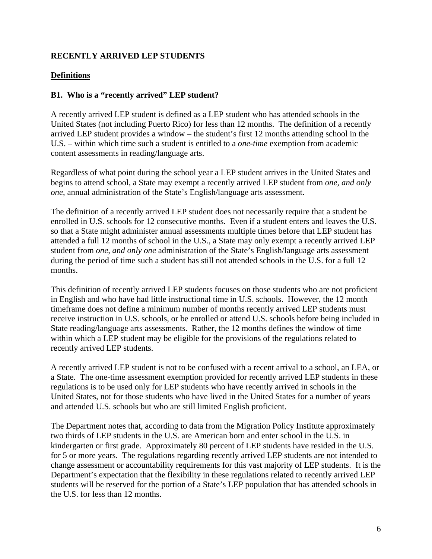### **RECENTLY ARRIVED LEP STUDENTS**

# **Definitions**

#### **B1. Who is a "recently arrived" LEP student?**

A recently arrived LEP student is defined as a LEP student who has attended schools in the United States (not including Puerto Rico) for less than 12 months. The definition of a recently arrived LEP student provides a window – the student's first 12 months attending school in the U.S. – within which time such a student is entitled to a *one-time* exemption from academic content assessments in reading/language arts.

Regardless of what point during the school year a LEP student arrives in the United States and begins to attend school, a State may exempt a recently arrived LEP student from *one, and only one*, annual administration of the State's English/language arts assessment.

The definition of a recently arrived LEP student does not necessarily require that a student be enrolled in U.S. schools for 12 consecutive months. Even if a student enters and leaves the U.S. so that a State might administer annual assessments multiple times before that LEP student has attended a full 12 months of school in the U.S., a State may only exempt a recently arrived LEP student from *one, and only one* administration of the State's English/language arts assessment during the period of time such a student has still not attended schools in the U.S. for a full 12 months.

This definition of recently arrived LEP students focuses on those students who are not proficient in English and who have had little instructional time in U.S. schools. However, the 12 month timeframe does not define a minimum number of months recently arrived LEP students must receive instruction in U.S. schools, or be enrolled or attend U.S. schools before being included in State reading/language arts assessments. Rather, the 12 months defines the window of time within which a LEP student may be eligible for the provisions of the regulations related to recently arrived LEP students.

A recently arrived LEP student is not to be confused with a recent arrival to a school, an LEA, or a State. The one-time assessment exemption provided for recently arrived LEP students in these regulations is to be used only for LEP students who have recently arrived in schools in the United States, not for those students who have lived in the United States for a number of years and attended U.S. schools but who are still limited English proficient.

The Department notes that, according to data from the Migration Policy Institute approximately two thirds of LEP students in the U.S. are American born and enter school in the U.S. in kindergarten or first grade. Approximately 80 percent of LEP students have resided in the U.S. for 5 or more years. The regulations regarding recently arrived LEP students are not intended to change assessment or accountability requirements for this vast majority of LEP students. It is the Department's expectation that the flexibility in these regulations related to recently arrived LEP students will be reserved for the portion of a State's LEP population that has attended schools in the U.S. for less than 12 months.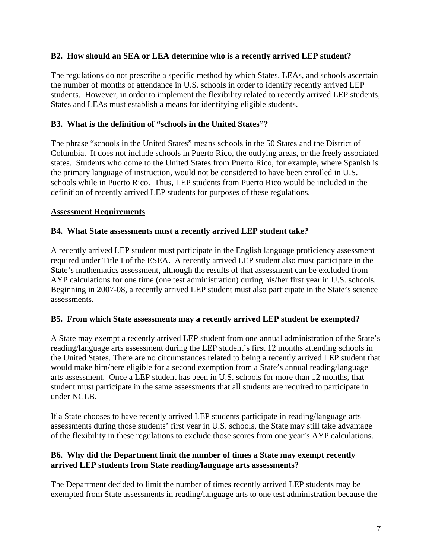#### **B2. How should an SEA or LEA determine who is a recently arrived LEP student?**

The regulations do not prescribe a specific method by which States, LEAs, and schools ascertain the number of months of attendance in U.S. schools in order to identify recently arrived LEP students. However, in order to implement the flexibility related to recently arrived LEP students, States and LEAs must establish a means for identifying eligible students.

#### **B3. What is the definition of "schools in the United States"?**

The phrase "schools in the United States" means schools in the 50 States and the District of Columbia. It does not include schools in Puerto Rico, the outlying areas, or the freely associated states. Students who come to the United States from Puerto Rico, for example, where Spanish is the primary language of instruction, would not be considered to have been enrolled in U.S. schools while in Puerto Rico. Thus, LEP students from Puerto Rico would be included in the definition of recently arrived LEP students for purposes of these regulations.

#### **Assessment Requirements**

#### **B4. What State assessments must a recently arrived LEP student take?**

A recently arrived LEP student must participate in the English language proficiency assessment required under Title I of the ESEA. A recently arrived LEP student also must participate in the State's mathematics assessment, although the results of that assessment can be excluded from AYP calculations for one time (one test administration) during his/her first year in U.S. schools. Beginning in 2007-08, a recently arrived LEP student must also participate in the State's science assessments.

#### **B5. From which State assessments may a recently arrived LEP student be exempted?**

A State may exempt a recently arrived LEP student from one annual administration of the State's reading/language arts assessment during the LEP student's first 12 months attending schools in the United States. There are no circumstances related to being a recently arrived LEP student that would make him/here eligible for a second exemption from a State's annual reading/language arts assessment. Once a LEP student has been in U.S. schools for more than 12 months, that student must participate in the same assessments that all students are required to participate in under NCLB.

If a State chooses to have recently arrived LEP students participate in reading/language arts assessments during those students' first year in U.S. schools, the State may still take advantage of the flexibility in these regulations to exclude those scores from one year's AYP calculations.

# **B6. Why did the Department limit the number of times a State may exempt recently arrived LEP students from State reading/language arts assessments?**

The Department decided to limit the number of times recently arrived LEP students may be exempted from State assessments in reading/language arts to one test administration because the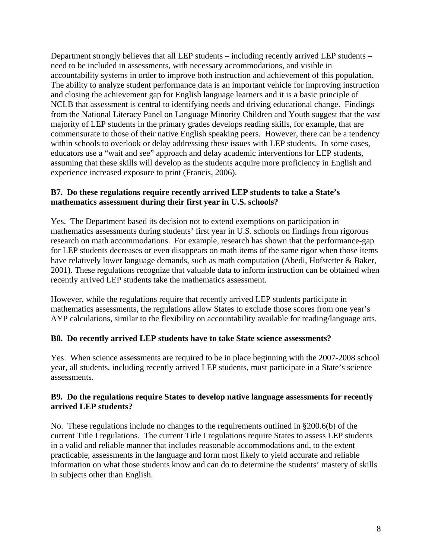Department strongly believes that all LEP students – including recently arrived LEP students – need to be included in assessments, with necessary accommodations, and visible in accountability systems in order to improve both instruction and achievement of this population. The ability to analyze student performance data is an important vehicle for improving instruction and closing the achievement gap for English language learners and it is a basic principle of NCLB that assessment is central to identifying needs and driving educational change. Findings from the National Literacy Panel on Language Minority Children and Youth suggest that the vast majority of LEP students in the primary grades develops reading skills, for example, that are commensurate to those of their native English speaking peers. However, there can be a tendency within schools to overlook or delay addressing these issues with LEP students. In some cases, educators use a "wait and see" approach and delay academic interventions for LEP students, assuming that these skills will develop as the students acquire more proficiency in English and experience increased exposure to print (Francis, 2006).

# **B7. Do these regulations require recently arrived LEP students to take a State's mathematics assessment during their first year in U.S. schools?**

Yes. The Department based its decision not to extend exemptions on participation in mathematics assessments during students' first year in U.S. schools on findings from rigorous research on math accommodations. For example, research has shown that the performance-gap for LEP students decreases or even disappears on math items of the same rigor when those items have relatively lower language demands, such as math computation (Abedi, Hofstetter & Baker, 2001). These regulations recognize that valuable data to inform instruction can be obtained when recently arrived LEP students take the mathematics assessment.

However, while the regulations require that recently arrived LEP students participate in mathematics assessments, the regulations allow States to exclude those scores from one year's AYP calculations, similar to the flexibility on accountability available for reading/language arts.

#### **B8. Do recently arrived LEP students have to take State science assessments?**

Yes. When science assessments are required to be in place beginning with the 2007-2008 school year, all students, including recently arrived LEP students, must participate in a State's science assessments.

#### **B9. Do the regulations require States to develop native language assessments for recently arrived LEP students?**

No. These regulations include no changes to the requirements outlined in §200.6(b) of the current Title I regulations. The current Title I regulations require States to assess LEP students in a valid and reliable manner that includes reasonable accommodations and, to the extent practicable, assessments in the language and form most likely to yield accurate and reliable information on what those students know and can do to determine the students' mastery of skills in subjects other than English.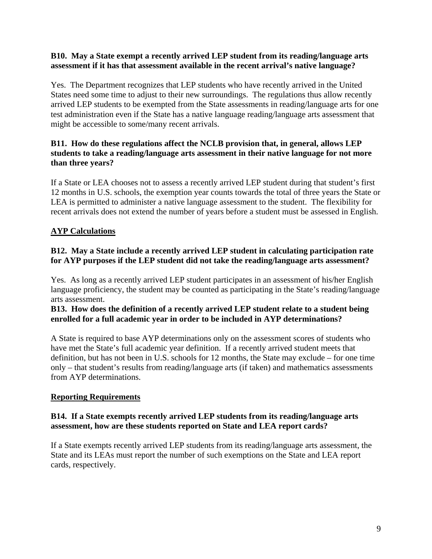#### **B10. May a State exempt a recently arrived LEP student from its reading/language arts assessment if it has that assessment available in the recent arrival's native language?**

Yes. The Department recognizes that LEP students who have recently arrived in the United States need some time to adjust to their new surroundings. The regulations thus allow recently arrived LEP students to be exempted from the State assessments in reading/language arts for one test administration even if the State has a native language reading/language arts assessment that might be accessible to some/many recent arrivals.

#### **B11. How do these regulations affect the NCLB provision that, in general, allows LEP students to take a reading/language arts assessment in their native language for not more than three years?**

If a State or LEA chooses not to assess a recently arrived LEP student during that student's first 12 months in U.S. schools, the exemption year counts towards the total of three years the State or LEA is permitted to administer a native language assessment to the student. The flexibility for recent arrivals does not extend the number of years before a student must be assessed in English.

# **AYP Calculations**

#### **B12. May a State include a recently arrived LEP student in calculating participation rate for AYP purposes if the LEP student did not take the reading/language arts assessment?**

Yes. As long as a recently arrived LEP student participates in an assessment of his/her English language proficiency, the student may be counted as participating in the State's reading/language arts assessment.

#### **B13. How does the definition of a recently arrived LEP student relate to a student being enrolled for a full academic year in order to be included in AYP determinations?**

A State is required to base AYP determinations only on the assessment scores of students who have met the State's full academic year definition. If a recently arrived student meets that definition, but has not been in U.S. schools for 12 months, the State may exclude – for one time only – that student's results from reading/language arts (if taken) and mathematics assessments from AYP determinations.

#### **Reporting Requirements**

#### **B14. If a State exempts recently arrived LEP students from its reading/language arts assessment, how are these students reported on State and LEA report cards?**

If a State exempts recently arrived LEP students from its reading/language arts assessment, the State and its LEAs must report the number of such exemptions on the State and LEA report cards, respectively.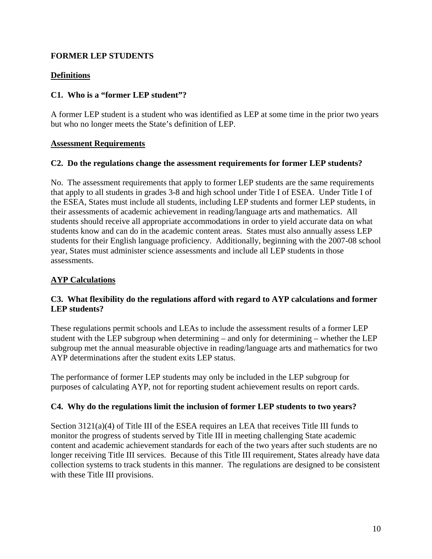# **FORMER LEP STUDENTS**

# **Definitions**

#### **C1. Who is a "former LEP student"?**

A former LEP student is a student who was identified as LEP at some time in the prior two years but who no longer meets the State's definition of LEP.

#### **Assessment Requirements**

#### **C2. Do the regulations change the assessment requirements for former LEP students?**

No. The assessment requirements that apply to former LEP students are the same requirements that apply to all students in grades 3-8 and high school under Title I of ESEA. Under Title I of the ESEA, States must include all students, including LEP students and former LEP students, in their assessments of academic achievement in reading/language arts and mathematics. All students should receive all appropriate accommodations in order to yield accurate data on what students know and can do in the academic content areas. States must also annually assess LEP students for their English language proficiency. Additionally, beginning with the 2007-08 school year, States must administer science assessments and include all LEP students in those assessments.

# **AYP Calculations**

#### **C3. What flexibility do the regulations afford with regard to AYP calculations and former LEP students?**

These regulations permit schools and LEAs to include the assessment results of a former LEP student with the LEP subgroup when determining – and only for determining – whether the LEP subgroup met the annual measurable objective in reading/language arts and mathematics for two AYP determinations after the student exits LEP status.

The performance of former LEP students may only be included in the LEP subgroup for purposes of calculating AYP, not for reporting student achievement results on report cards.

#### **C4. Why do the regulations limit the inclusion of former LEP students to two years?**

Section 3121(a)(4) of Title III of the ESEA requires an LEA that receives Title III funds to monitor the progress of students served by Title III in meeting challenging State academic content and academic achievement standards for each of the two years after such students are no longer receiving Title III services. Because of this Title III requirement, States already have data collection systems to track students in this manner. The regulations are designed to be consistent with these Title III provisions.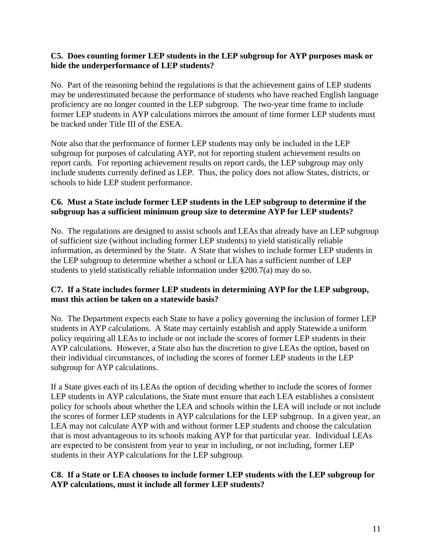#### **C5. Does counting former LEP students in the LEP subgroup for AYP purposes mask or hide the underperformance of LEP students?**

No. Part of the reasoning behind the regulations is that the achievement gains of LEP students may be underestimated because the performance of students who have reached English language proficiency are no longer counted in the LEP subgroup. The two-year time frame to include former LEP students in AYP calculations mirrors the amount of time former LEP students must be tracked under Title III of the ESEA.

Note also that the performance of former LEP students may only be included in the LEP subgroup for purposes of calculating AYP, not for reporting student achievement results on report cards. For reporting achievement results on report cards, the LEP subgroup may only include students currently defined as LEP. Thus, the policy does not allow States, districts, or schools to hide LEP student performance.

#### **C6. Must a State include former LEP students in the LEP subgroup to determine if the subgroup has a sufficient minimum group size to determine AYP for LEP students?**

No. The regulations are designed to assist schools and LEAs that already have an LEP subgroup of sufficient size (without including former LEP students) to yield statistically reliable information, as determined by the State. A State that wishes to include former LEP students in the LEP subgroup to determine whether a school or LEA has a sufficient number of LEP students to yield statistically reliable information under §200.7(a) may do so.

# **C7. If a State includes former LEP students in determining AYP for the LEP subgroup, must this action be taken on a statewide basis?**

No. The Department expects each State to have a policy governing the inclusion of former LEP students in AYP calculations. A State may certainly establish and apply Statewide a uniform policy requiring all LEAs to include or not include the scores of former LEP students in their AYP calculations. However, a State also has the discretion to give LEAs the option, based on their individual circumstances, of including the scores of former LEP students in the LEP subgroup for AYP calculations.

If a State gives each of its LEAs the option of deciding whether to include the scores of former LEP students in AYP calculations, the State must ensure that each LEA establishes a consistent policy for schools about whether the LEA and schools within the LEA will include or not include the scores of former LEP students in AYP calculations for the LEP subgroup. In a given year, an LEA may not calculate AYP with and without former LEP students and choose the calculation that is most advantageous to its schools making AYP for that particular year. Individual LEAs are expected to be consistent from year to year in including, or not including, former LEP students in their AYP calculations for the LEP subgroup.

#### **C8. If a State or LEA chooses to include former LEP students with the LEP subgroup for AYP calculations, must it include all former LEP students?**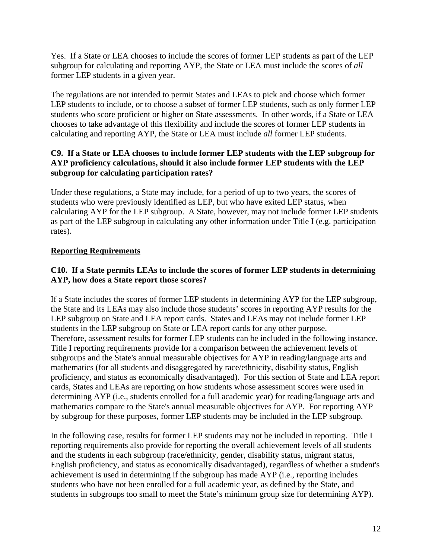Yes. If a State or LEA chooses to include the scores of former LEP students as part of the LEP subgroup for calculating and reporting AYP, the State or LEA must include the scores of *all* former LEP students in a given year.

The regulations are not intended to permit States and LEAs to pick and choose which former LEP students to include, or to choose a subset of former LEP students, such as only former LEP students who score proficient or higher on State assessments. In other words, if a State or LEA chooses to take advantage of this flexibility and include the scores of former LEP students in calculating and reporting AYP, the State or LEA must include *all* former LEP students.

# **C9. If a State or LEA chooses to include former LEP students with the LEP subgroup for AYP proficiency calculations, should it also include former LEP students with the LEP subgroup for calculating participation rates?**

Under these regulations, a State may include, for a period of up to two years, the scores of students who were previously identified as LEP, but who have exited LEP status, when calculating AYP for the LEP subgroup. A State, however, may not include former LEP students as part of the LEP subgroup in calculating any other information under Title I (e.g. participation rates).

# **Reporting Requirements**

# **C10. If a State permits LEAs to include the scores of former LEP students in determining AYP, how does a State report those scores?**

If a State includes the scores of former LEP students in determining AYP for the LEP subgroup, the State and its LEAs may also include those students' scores in reporting AYP results for the LEP subgroup on State and LEA report cards. States and LEAs may not include former LEP students in the LEP subgroup on State or LEA report cards for any other purpose. Therefore, assessment results for former LEP students can be included in the following instance. Title I reporting requirements provide for a comparison between the achievement levels of subgroups and the State's annual measurable objectives for AYP in reading/language arts and mathematics (for all students and disaggregated by race/ethnicity, disability status, English proficiency, and status as economically disadvantaged). For this section of State and LEA report cards, States and LEAs are reporting on how students whose assessment scores were used in determining AYP (i.e., students enrolled for a full academic year) for reading/language arts and mathematics compare to the State's annual measurable objectives for AYP. For reporting AYP by subgroup for these purposes, former LEP students may be included in the LEP subgroup.

In the following case, results for former LEP students may not be included in reporting. Title I reporting requirements also provide for reporting the overall achievement levels of all students and the students in each subgroup (race/ethnicity, gender, disability status, migrant status, English proficiency, and status as economically disadvantaged), regardless of whether a student's achievement is used in determining if the subgroup has made AYP (i.e., reporting includes students who have not been enrolled for a full academic year, as defined by the State, and students in subgroups too small to meet the State's minimum group size for determining AYP).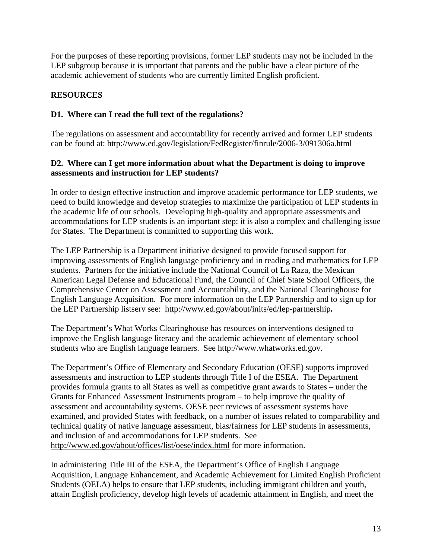For the purposes of these reporting provisions, former LEP students may not be included in the LEP subgroup because it is important that parents and the public have a clear picture of the academic achievement of students who are currently limited English proficient.

# **RESOURCES**

# **D1. Where can I read the full text of the regulations?**

The regulations on assessment and accountability for recently arrived and former LEP students can be found at: http://www.ed.gov/legislation/FedRegister/finrule/2006-3/091306a.html

#### **D2. Where can I get more information about what the Department is doing to improve assessments and instruction for LEP students?**

In order to design effective instruction and improve academic performance for LEP students, we need to build knowledge and develop strategies to maximize the participation of LEP students in the academic life of our schools. Developing high-quality and appropriate assessments and accommodations for LEP students is an important step; it is also a complex and challenging issue for States. The Department is committed to supporting this work.

The LEP Partnership is a Department initiative designed to provide focused support for improving assessments of English language proficiency and in reading and mathematics for LEP students. Partners for the initiative include the National Council of La Raza, the Mexican American Legal Defense and Educational Fund, the Council of Chief State School Officers, the Comprehensive Center on Assessment and Accountability, and the National Clearinghouse for English Language Acquisition. For more information on the LEP Partnership and to sign up for the LEP Partnership listserv see: http://www.ed.gov/about/inits/ed/lep-partnership**.** 

The Department's What Works Clearinghouse has resources on interventions designed to improve the English language literacy and the academic achievement of elementary school students who are English language learners. See http://www.whatworks.ed.gov.

The Department's Office of Elementary and Secondary Education (OESE) supports improved assessments and instruction to LEP students through Title I of the ESEA. The Department provides formula grants to all States as well as competitive grant awards to States – under the Grants for Enhanced Assessment Instruments program – to help improve the quality of assessment and accountability systems. OESE peer reviews of assessment systems have examined, and provided States with feedback, on a number of issues related to comparability and technical quality of native language assessment, bias/fairness for LEP students in assessments, and inclusion of and accommodations for LEP students. See http://www.ed.gov/about/offices/list/oese/index.html for more information.

In administering Title III of the ESEA, the Department's Office of English Language Acquisition, Language Enhancement, and Academic Achievement for Limited English Proficient Students (OELA) helps to ensure that LEP students, including immigrant children and youth, attain English proficiency, develop high levels of academic attainment in English, and meet the